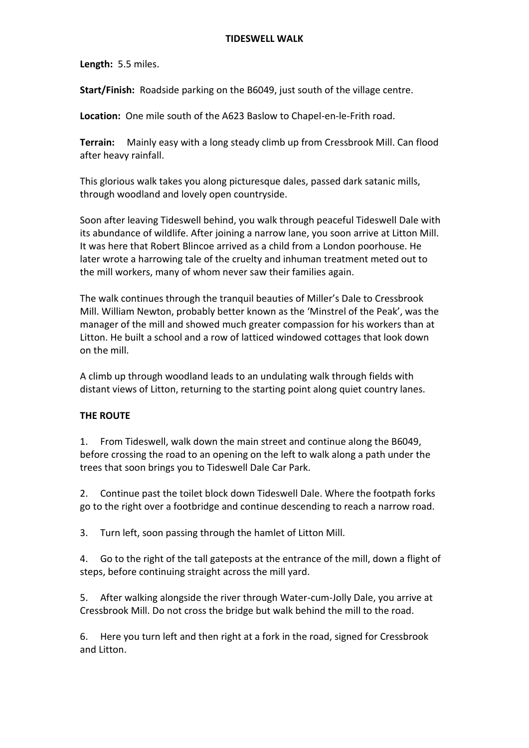## **TIDESWELL WALK**

**Length:** 5.5 miles.

**Start/Finish:** Roadside parking on the B6049, just south of the village centre.

**Location:** One mile south of the A623 Baslow to Chapel-en-le-Frith road.

**Terrain:** Mainly easy with a long steady climb up from Cressbrook Mill. Can flood after heavy rainfall.

This glorious walk takes you along picturesque dales, passed dark satanic mills, through woodland and lovely open countryside.

Soon after leaving Tideswell behind, you walk through peaceful Tideswell Dale with its abundance of wildlife. After joining a narrow lane, you soon arrive at Litton Mill. It was here that Robert Blincoe arrived as a child from a London poorhouse. He later wrote a harrowing tale of the cruelty and inhuman treatment meted out to the mill workers, many of whom never saw their families again.

The walk continues through the tranquil beauties of Miller's Dale to Cressbrook Mill. William Newton, probably better known as the 'Minstrel of the Peak', was the manager of the mill and showed much greater compassion for his workers than at Litton. He built a school and a row of latticed windowed cottages that look down on the mill.

A climb up through woodland leads to an undulating walk through fields with distant views of Litton, returning to the starting point along quiet country lanes.

## **THE ROUTE**

1. From Tideswell, walk down the main street and continue along the B6049, before crossing the road to an opening on the left to walk along a path under the trees that soon brings you to Tideswell Dale Car Park.

2. Continue past the toilet block down Tideswell Dale. Where the footpath forks go to the right over a footbridge and continue descending to reach a narrow road.

3. Turn left, soon passing through the hamlet of Litton Mill.

4. Go to the right of the tall gateposts at the entrance of the mill, down a flight of steps, before continuing straight across the mill yard.

5. After walking alongside the river through Water-cum-Jolly Dale, you arrive at Cressbrook Mill. Do not cross the bridge but walk behind the mill to the road.

6. Here you turn left and then right at a fork in the road, signed for Cressbrook and Litton.